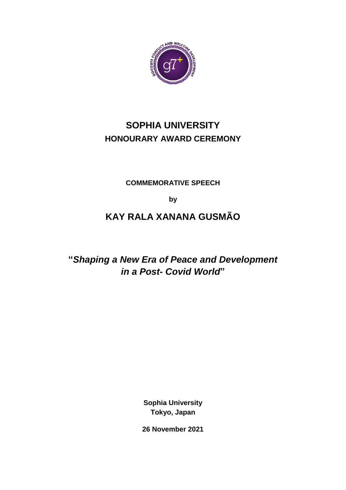

# **SOPHIA UNIVERSITY HONOURARY AWARD CEREMONY**

**COMMEMORATIVE SPEECH** 

**by**

# **KAY RALA XANANA GUSMÃO**

**"***Shaping a New Era of Peace and Development in a Post- Covid World***"**

> **Sophia University Tokyo, Japan**

**26 November 2021**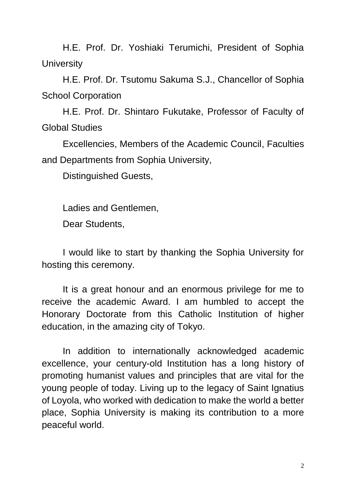H.E. Prof. Dr. Yoshiaki Terumichi, President of Sophia **University** 

H.E. Prof. Dr. Tsutomu Sakuma S.J., Chancellor of Sophia School Corporation

H.E. Prof. Dr. Shintaro Fukutake, Professor of Faculty of Global Studies

Excellencies, Members of the Academic Council, Faculties and Departments from Sophia University,

Distinguished Guests,

Ladies and Gentlemen,

Dear Students,

I would like to start by thanking the Sophia University for hosting this ceremony.

It is a great honour and an enormous privilege for me to receive the academic Award. I am humbled to accept the Honorary Doctorate from this Catholic Institution of higher education, in the amazing city of Tokyo.

In addition to internationally acknowledged academic excellence, your century-old Institution has a long history of promoting humanist values and principles that are vital for the young people of today. Living up to the legacy of Saint Ignatius of Loyola, who worked with dedication to make the world a better place, Sophia University is making its contribution to a more peaceful world.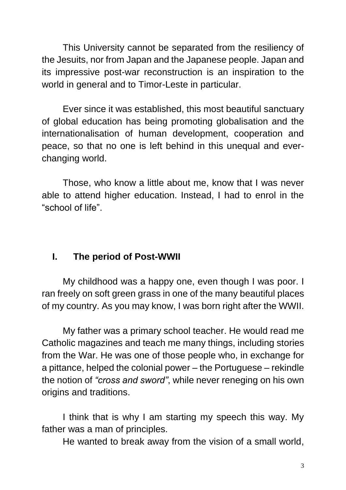This University cannot be separated from the resiliency of the Jesuits, nor from Japan and the Japanese people. Japan and its impressive post-war reconstruction is an inspiration to the world in general and to Timor-Leste in particular.

Ever since it was established, this most beautiful sanctuary of global education has being promoting globalisation and the internationalisation of human development, cooperation and peace, so that no one is left behind in this unequal and everchanging world.

Those, who know a little about me, know that I was never able to attend higher education. Instead, I had to enrol in the "school of life".

### **I. The period of Post-WWII**

My childhood was a happy one, even though I was poor. I ran freely on soft green grass in one of the many beautiful places of my country. As you may know, I was born right after the WWII.

My father was a primary school teacher. He would read me Catholic magazines and teach me many things, including stories from the War. He was one of those people who, in exchange for a pittance, helped the colonial power – the Portuguese – rekindle the notion of *"cross and sword"*, while never reneging on his own origins and traditions.

I think that is why I am starting my speech this way. My father was a man of principles.

He wanted to break away from the vision of a small world,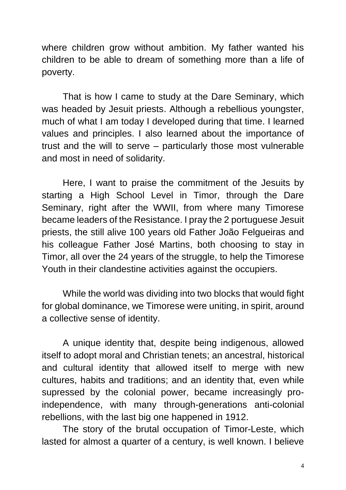where children grow without ambition. My father wanted his children to be able to dream of something more than a life of poverty.

That is how I came to study at the Dare Seminary, which was headed by Jesuit priests. Although a rebellious youngster, much of what I am today I developed during that time. I learned values and principles. I also learned about the importance of trust and the will to serve – particularly those most vulnerable and most in need of solidarity.

Here, I want to praise the commitment of the Jesuits by starting a High School Level in Timor, through the Dare Seminary, right after the WWII, from where many Timorese became leaders of the Resistance. I pray the 2 portuguese Jesuit priests, the still alive 100 years old Father João Felgueiras and his colleague Father José Martins, both choosing to stay in Timor, all over the 24 years of the struggle, to help the Timorese Youth in their clandestine activities against the occupiers.

While the world was dividing into two blocks that would fight for global dominance, we Timorese were uniting, in spirit, around a collective sense of identity.

A unique identity that, despite being indigenous, allowed itself to adopt moral and Christian tenets; an ancestral, historical and cultural identity that allowed itself to merge with new cultures, habits and traditions; and an identity that, even while supressed by the colonial power, became increasingly proindependence, with many through-generations anti-colonial rebellions, with the last big one happened in 1912.

The story of the brutal occupation of Timor-Leste, which lasted for almost a quarter of a century, is well known. I believe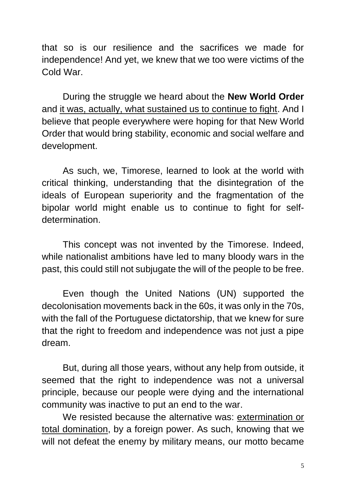that so is our resilience and the sacrifices we made for independence! And yet, we knew that we too were victims of the Cold War.

During the struggle we heard about the **New World Order** and it was, actually, what sustained us to continue to fight. And I believe that people everywhere were hoping for that New World Order that would bring stability, economic and social welfare and development.

As such, we, Timorese, learned to look at the world with critical thinking, understanding that the disintegration of the ideals of European superiority and the fragmentation of the bipolar world might enable us to continue to fight for selfdetermination.

This concept was not invented by the Timorese. Indeed, while nationalist ambitions have led to many bloody wars in the past, this could still not subjugate the will of the people to be free.

Even though the United Nations (UN) supported the decolonisation movements back in the 60s, it was only in the 70s, with the fall of the Portuguese dictatorship, that we knew for sure that the right to freedom and independence was not just a pipe dream.

But, during all those years, without any help from outside, it seemed that the right to independence was not a universal principle, because our people were dying and the international community was inactive to put an end to the war.

We resisted because the alternative was: extermination or total domination, by a foreign power. As such, knowing that we will not defeat the enemy by military means, our motto became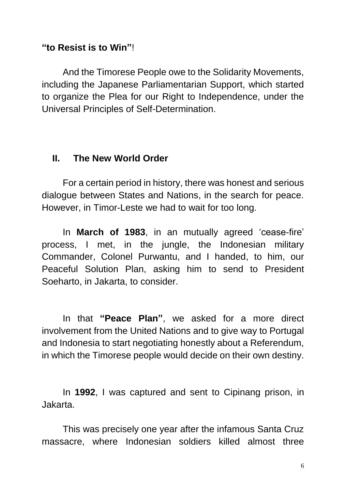#### **"to Resist is to Win"**!

And the Timorese People owe to the Solidarity Movements, including the Japanese Parliamentarian Support, which started to organize the Plea for our Right to Independence, under the Universal Principles of Self-Determination.

#### **II. The New World Order**

For a certain period in history, there was honest and serious dialogue between States and Nations, in the search for peace. However, in Timor-Leste we had to wait for too long.

In **March of 1983**, in an mutually agreed 'cease-fire' process, I met, in the jungle, the Indonesian military Commander, Colonel Purwantu, and I handed, to him, our Peaceful Solution Plan, asking him to send to President Soeharto, in Jakarta, to consider.

In that **"Peace Plan"**, we asked for a more direct involvement from the United Nations and to give way to Portugal and Indonesia to start negotiating honestly about a Referendum, in which the Timorese people would decide on their own destiny.

In **1992**, I was captured and sent to Cipinang prison, in Jakarta.

This was precisely one year after the infamous Santa Cruz massacre, where Indonesian soldiers killed almost three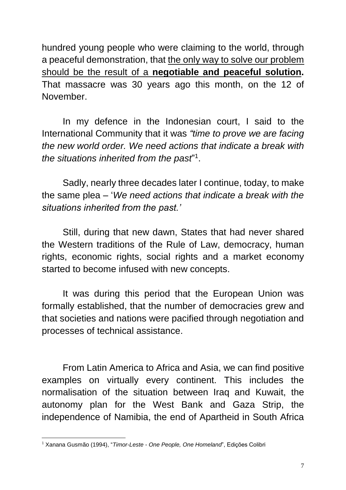hundred young people who were claiming to the world, through a peaceful demonstration, that the only way to solve our problem should be the result of a **negotiable and peaceful solution.** That massacre was 30 years ago this month, on the 12 of November.

In my defence in the Indonesian court, I said to the International Community that it was *"time to prove we are facing the new world order. We need actions that indicate a break with the situations inherited from the past*" 1 .

Sadly, nearly three decades later I continue, today, to make the same plea – '*We need actions that indicate a break with the situations inherited from the past.'*

Still, during that new dawn, States that had never shared the Western traditions of the Rule of Law, democracy, human rights, economic rights, social rights and a market economy started to become infused with new concepts.

It was during this period that the European Union was formally established, that the number of democracies grew and that societies and nations were pacified through negotiation and processes of technical assistance.

From Latin America to Africa and Asia, we can find positive examples on virtually every continent. This includes the normalisation of the situation between Iraq and Kuwait, the autonomy plan for the West Bank and Gaza Strip, the independence of Namibia, the end of Apartheid in South Africa

<sup>1</sup> <sup>1</sup> Xanana Gusmão (1994), "*Timor-Leste - One People, One Homeland*", Edições Colibri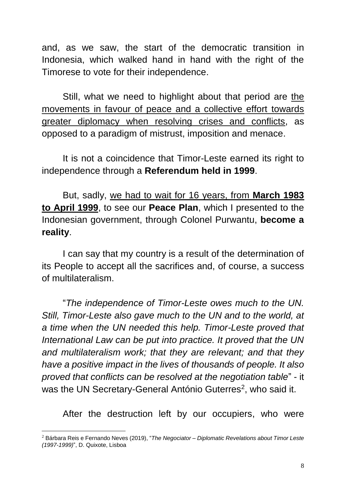and, as we saw, the start of the democratic transition in Indonesia, which walked hand in hand with the right of the Timorese to vote for their independence.

Still, what we need to highlight about that period are the movements in favour of peace and a collective effort towards greater diplomacy when resolving crises and conflicts, as opposed to a paradigm of mistrust, imposition and menace.

It is not a coincidence that Timor-Leste earned its right to independence through a **Referendum held in 1999**.

But, sadly, we had to wait for 16 years, from **March 1983 to April 1999**, to see our **Peace Plan**, which I presented to the Indonesian government, through Colonel Purwantu, **become a reality**.

I can say that my country is a result of the determination of its People to accept all the sacrifices and, of course, a success of multilateralism.

"*The independence of Timor-Leste owes much to the UN. Still, Timor-Leste also gave much to the UN and to the world, at a time when the UN needed this help. Timor-Leste proved that International Law can be put into practice. It proved that the UN and multilateralism work; that they are relevant; and that they have a positive impact in the lives of thousands of people. It also proved that conflicts can be resolved at the negotiation table*" - it was the UN Secretary-General António Guterres<sup>2</sup>, who said it.

After the destruction left by our occupiers, who were

1

<sup>2</sup> Bárbara Reis e Fernando Neves (2019), "*The Negociator – Diplomatic Revelations about Timor Leste (1997-1999)*", D. Quixote, Lisboa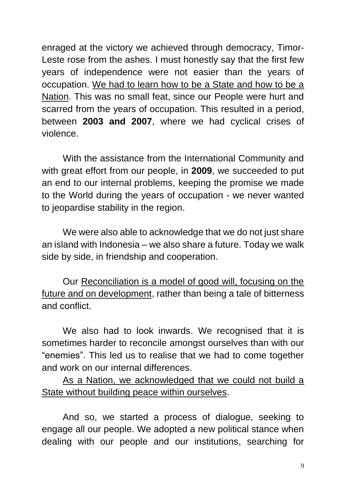enraged at the victory we achieved through democracy, Timor-Leste rose from the ashes. I must honestly say that the first few years of independence were not easier than the years of occupation. We had to learn how to be a State and how to be a Nation. This was no small feat, since our People were hurt and scarred from the years of occupation. This resulted in a period, between **2003 and 2007**, where we had cyclical crises of violence.

With the assistance from the International Community and with great effort from our people, in **2009**, we succeeded to put an end to our internal problems, keeping the promise we made to the World during the years of occupation - we never wanted to jeopardise stability in the region.

We were also able to acknowledge that we do not just share an island with Indonesia – we also share a future. Today we walk side by side, in friendship and cooperation.

Our Reconciliation is a model of good will, focusing on the future and on development, rather than being a tale of bitterness and conflict.

We also had to look inwards. We recognised that it is sometimes harder to reconcile amongst ourselves than with our "enemies". This led us to realise that we had to come together and work on our internal differences.

As a Nation, we acknowledged that we could not build a State without building peace within ourselves.

And so, we started a process of dialogue, seeking to engage all our people. We adopted a new political stance when dealing with our people and our institutions, searching for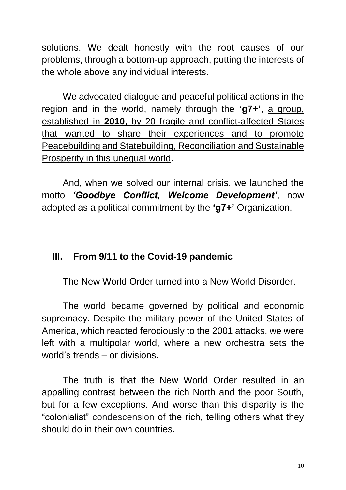solutions. We dealt honestly with the root causes of our problems, through a bottom-up approach, putting the interests of the whole above any individual interests.

We advocated dialogue and peaceful political actions in the region and in the world, namely through the **'g7+'**, a group, established in **2010**, by 20 fragile and conflict-affected States that wanted to share their experiences and to promote Peacebuilding and Statebuilding, Reconciliation and Sustainable Prosperity in this unequal world.

And, when we solved our internal crisis, we launched the motto *'Goodbye Conflict, Welcome Development'*, now adopted as a political commitment by the **'g7+'** Organization.

### **III. From 9/11 to the Covid-19 pandemic**

The New World Order turned into a New World Disorder.

The world became governed by political and economic supremacy. Despite the military power of the United States of America, which reacted ferociously to the 2001 attacks, we were left with a multipolar world, where a new orchestra sets the world's trends – or divisions.

The truth is that the New World Order resulted in an appalling contrast between the rich North and the poor South, but for a few exceptions. And worse than this disparity is the "colonialist" condescension of the rich, telling others what they should do in their own countries.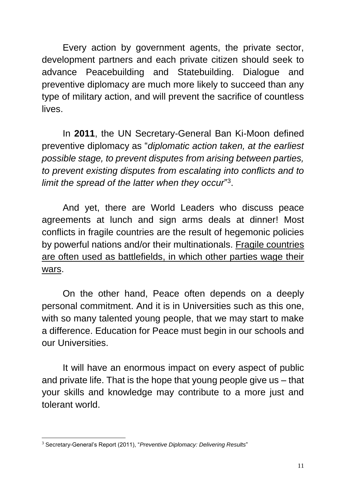Every action by government agents, the private sector, development partners and each private citizen should seek to advance Peacebuilding and Statebuilding. Dialogue and preventive diplomacy are much more likely to succeed than any type of military action, and will prevent the sacrifice of countless lives.

In **2011**, the UN Secretary-General Ban Ki-Moon defined preventive diplomacy as "*diplomatic action taken, at the earliest possible stage, to prevent disputes from arising between parties, to prevent existing disputes from escalating into conflicts and to limit the spread of the latter when they occur*" 3 .

And yet, there are World Leaders who discuss peace agreements at lunch and sign arms deals at dinner! Most conflicts in fragile countries are the result of hegemonic policies by powerful nations and/or their multinationals. Fragile countries are often used as battlefields, in which other parties wage their wars.

On the other hand, Peace often depends on a deeply personal commitment. And it is in Universities such as this one, with so many talented young people, that we may start to make a difference. Education for Peace must begin in our schools and our Universities.

It will have an enormous impact on every aspect of public and private life. That is the hope that young people give us – that your skills and knowledge may contribute to a more just and tolerant world.

<sup>1</sup> <sup>3</sup> Secretary-General's Report (2011), "*Preventive Diplomacy: Delivering Results*"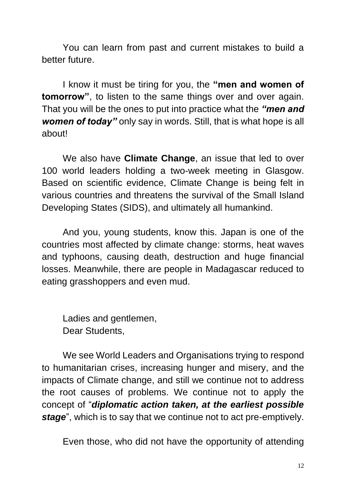You can learn from past and current mistakes to build a better future.

I know it must be tiring for you, the **"men and women of tomorrow"**, to listen to the same things over and over again. That you will be the ones to put into practice what the *"men and women of today"* only say in words. Still, that is what hope is all about!

We also have **Climate Change**, an issue that led to over 100 world leaders holding a two-week meeting in Glasgow. Based on scientific evidence, Climate Change is being felt in various countries and threatens the survival of the Small Island Developing States (SIDS), and ultimately all humankind.

And you, young students, know this. Japan is one of the countries most affected by climate change: storms, heat waves and typhoons, causing death, destruction and huge financial losses. Meanwhile, there are people in Madagascar reduced to eating grasshoppers and even mud.

Ladies and gentlemen, Dear Students,

We see World Leaders and Organisations trying to respond to humanitarian crises, increasing hunger and misery, and the impacts of Climate change, and still we continue not to address the root causes of problems. We continue not to apply the concept of "*diplomatic action taken, at the earliest possible stage*", which is to say that we continue not to act pre-emptively.

Even those, who did not have the opportunity of attending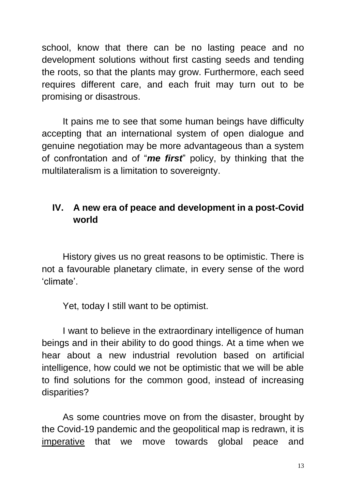school, know that there can be no lasting peace and no development solutions without first casting seeds and tending the roots, so that the plants may grow. Furthermore, each seed requires different care, and each fruit may turn out to be promising or disastrous.

It pains me to see that some human beings have difficulty accepting that an international system of open dialogue and genuine negotiation may be more advantageous than a system of confrontation and of "*me first*" policy, by thinking that the multilateralism is a limitation to sovereignty.

### **IV. A new era of peace and development in a post-Covid world**

History gives us no great reasons to be optimistic. There is not a favourable planetary climate, in every sense of the word 'climate'.

Yet, today I still want to be optimist.

I want to believe in the extraordinary intelligence of human beings and in their ability to do good things. At a time when we hear about a new industrial revolution based on artificial intelligence, how could we not be optimistic that we will be able to find solutions for the common good, instead of increasing disparities?

As some countries move on from the disaster, brought by the Covid-19 pandemic and the geopolitical map is redrawn, it is imperative that we move towards global peace and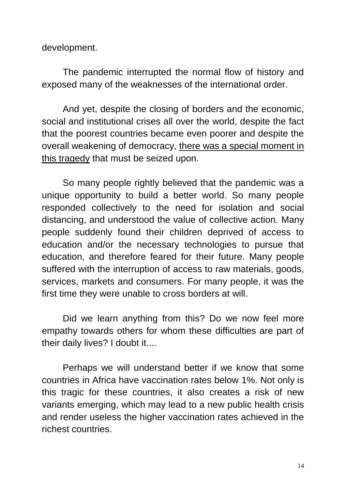development.

The pandemic interrupted the normal flow of history and exposed many of the weaknesses of the international order.

And yet, despite the closing of borders and the economic, social and institutional crises all over the world, despite the fact that the poorest countries became even poorer and despite the overall weakening of democracy, there was a special moment in this tragedy that must be seized upon.

So many people rightly believed that the pandemic was a unique opportunity to build a better world. So many people responded collectively to the need for isolation and social distancing, and understood the value of collective action. Many people suddenly found their children deprived of access to education and/or the necessary technologies to pursue that education, and therefore feared for their future. Many people suffered with the interruption of access to raw materials, goods, services, markets and consumers. For many people, it was the first time they were unable to cross borders at will.

Did we learn anything from this? Do we now feel more empathy towards others for whom these difficulties are part of their daily lives? I doubt it....

Perhaps we will understand better if we know that some countries in Africa have vaccination rates below 1%. Not only is this tragic for these countries, it also creates a risk of new variants emerging, which may lead to a new public health crisis and render useless the higher vaccination rates achieved in the richest countries.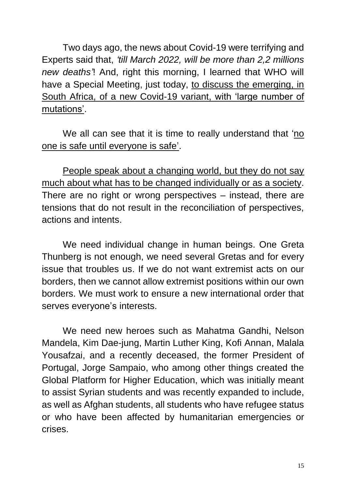Two days ago, the news about Covid-19 were terrifying and Experts said that, *'till March 2022, will be more than 2,2 millions new deaths'*! And, right this morning, I learned that WHO will have a Special Meeting, just today, to discuss the emerging, in South Africa, of a new Covid-19 variant, with 'large number of mutations'.

We all can see that it is time to really understand that 'no one is safe until everyone is safe'.

People speak about a changing world, but they do not say much about what has to be changed individually or as a society. There are no right or wrong perspectives – instead, there are tensions that do not result in the reconciliation of perspectives, actions and intents.

We need individual change in human beings. One Greta Thunberg is not enough, we need several Gretas and for every issue that troubles us. If we do not want extremist acts on our borders, then we cannot allow extremist positions within our own borders. We must work to ensure a new international order that serves everyone's interests.

We need new heroes such as Mahatma Gandhi, Nelson Mandela, Kim Dae-jung, Martin Luther King, Kofi Annan, Malala Yousafzai, and a recently deceased, the former President of Portugal, Jorge Sampaio, who among other things created the Global Platform for Higher Education, which was initially meant to assist Syrian students and was recently expanded to include, as well as Afghan students, all students who have refugee status or who have been affected by humanitarian emergencies or crises.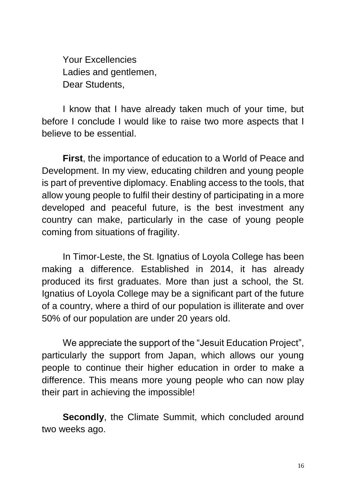Your Excellencies Ladies and gentlemen, Dear Students,

I know that I have already taken much of your time, but before I conclude I would like to raise two more aspects that I believe to be essential.

**First**, the importance of education to a World of Peace and Development. In my view, educating children and young people is part of preventive diplomacy. Enabling access to the tools, that allow young people to fulfil their destiny of participating in a more developed and peaceful future, is the best investment any country can make, particularly in the case of young people coming from situations of fragility.

In Timor-Leste, the St. Ignatius of Loyola College has been making a difference. Established in 2014, it has already produced its first graduates. More than just a school, the St. Ignatius of Loyola College may be a significant part of the future of a country, where a third of our population is illiterate and over 50% of our population are under 20 years old.

We appreciate the support of the "Jesuit Education Project", particularly the support from Japan, which allows our young people to continue their higher education in order to make a difference. This means more young people who can now play their part in achieving the impossible!

**Secondly, the Climate Summit, which concluded around** two weeks ago.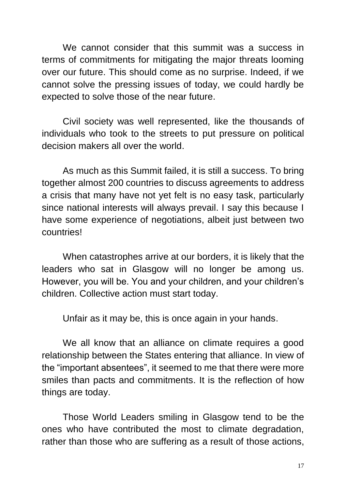We cannot consider that this summit was a success in terms of commitments for mitigating the major threats looming over our future. This should come as no surprise. Indeed, if we cannot solve the pressing issues of today, we could hardly be expected to solve those of the near future.

Civil society was well represented, like the thousands of individuals who took to the streets to put pressure on political decision makers all over the world.

As much as this Summit failed, it is still a success. To bring together almost 200 countries to discuss agreements to address a crisis that many have not yet felt is no easy task, particularly since national interests will always prevail. I say this because I have some experience of negotiations, albeit just between two countries!

When catastrophes arrive at our borders, it is likely that the leaders who sat in Glasgow will no longer be among us. However, you will be. You and your children, and your children's children. Collective action must start today.

Unfair as it may be, this is once again in your hands.

We all know that an alliance on climate requires a good relationship between the States entering that alliance. In view of the "important absentees", it seemed to me that there were more smiles than pacts and commitments. It is the reflection of how things are today.

Those World Leaders smiling in Glasgow tend to be the ones who have contributed the most to climate degradation, rather than those who are suffering as a result of those actions,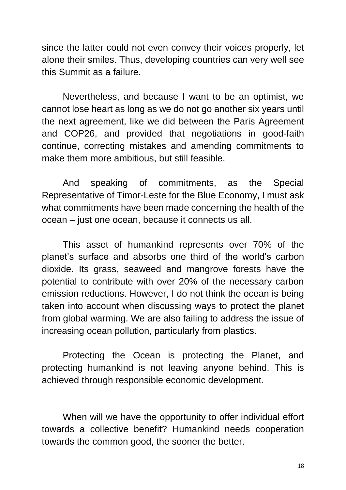since the latter could not even convey their voices properly, let alone their smiles. Thus, developing countries can very well see this Summit as a failure.

Nevertheless, and because I want to be an optimist, we cannot lose heart as long as we do not go another six years until the next agreement, like we did between the Paris Agreement and COP26, and provided that negotiations in good-faith continue, correcting mistakes and amending commitments to make them more ambitious, but still feasible.

And speaking of commitments, as the Special Representative of Timor-Leste for the Blue Economy, I must ask what commitments have been made concerning the health of the ocean – just one ocean, because it connects us all.

This asset of humankind represents over 70% of the planet's surface and absorbs one third of the world's carbon dioxide. Its grass, seaweed and mangrove forests have the potential to contribute with over 20% of the necessary carbon emission reductions. However, I do not think the ocean is being taken into account when discussing ways to protect the planet from global warming. We are also failing to address the issue of increasing ocean pollution, particularly from plastics.

Protecting the Ocean is protecting the Planet, and protecting humankind is not leaving anyone behind. This is achieved through responsible economic development.

When will we have the opportunity to offer individual effort towards a collective benefit? Humankind needs cooperation towards the common good, the sooner the better.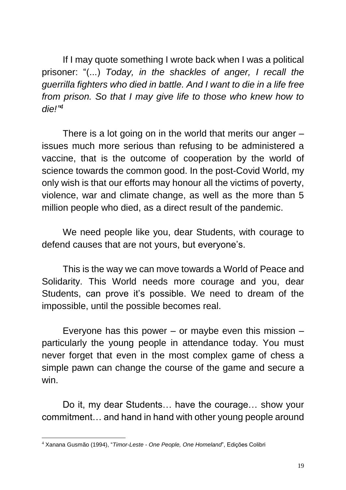If I may quote something I wrote back when I was a political prisoner: "(...) *Today, in the shackles of anger, I recall the guerrilla fighters who died in battle. And I want to die in a life free from prison. So that I may give life to those who knew how to die!" 4*

There is a lot going on in the world that merits our anger – issues much more serious than refusing to be administered a vaccine, that is the outcome of cooperation by the world of science towards the common good. In the post-Covid World, my only wish is that our efforts may honour all the victims of poverty, violence, war and climate change, as well as the more than 5 million people who died, as a direct result of the pandemic.

We need people like you, dear Students, with courage to defend causes that are not yours, but everyone's.

This is the way we can move towards a World of Peace and Solidarity. This World needs more courage and you, dear Students, can prove it's possible. We need to dream of the impossible, until the possible becomes real.

Everyone has this power – or maybe even this mission  $$ particularly the young people in attendance today. You must never forget that even in the most complex game of chess a simple pawn can change the course of the game and secure a win.

Do it, my dear Students… have the courage… show your commitment… and hand in hand with other young people around

1

<sup>4</sup> Xanana Gusmão (1994), "*Timor-Leste - One People, One Homeland*", Edições Colibri